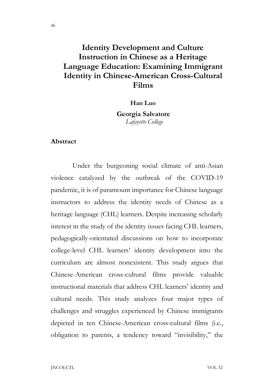## Identity Development and Culture Instruction in Chinese as a Heritage Language Education: Examining Immigrant Identity in Chinese-American Cross-Cultural Films

Han Luo

Georgia Salvatore Lafayette College

#### Abstract

 Under the burgeoning social climate of anti-Asian violence catalyzed by the outbreak of the COVID-19 pandemic, it is of paramount importance for Chinese language instructors to address the identity needs of Chinese as a heritage language *(CHL)* learners. Despite increasing scholarly interest in the study of the identity issues facing CHL learners, pedagogically-orientated discussions on how to incorporate college-level CHL learners' identity development into the curriculum are almost nonexistent. This study argues that Chinese-American cross-cultural films provide valuable instructional materials that address CHL learners' identity and cultural needs. This study analyzes four major types of challenges and struggles experienced by Chinese immigrants depicted in ten Chinese-American cross-cultural films (i.e., obligation to parents, a tendency toward "invisibility," the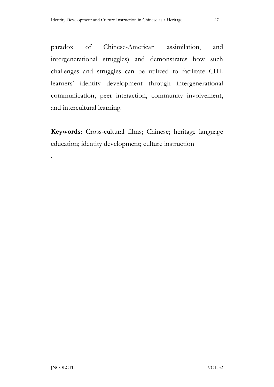paradox of Chinese-American assimilation, and intergenerational struggles) and demonstrates how such challenges and struggles can be utilized to facilitate CHL learners' identity development through intergenerational communication, peer interaction, community involvement, and intercultural learning.

Keywords: Cross-cultural films; Chinese; heritage language education; identity development; culture instruction

.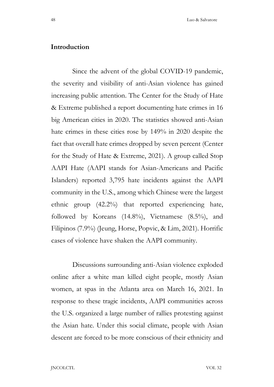#### Introduction

 Since the advent of the global COVID-19 pandemic, the severity and visibility of anti-Asian violence has gained increasing public attention. The Center for the Study of Hate & Extreme published a report documenting hate crimes in 16 big American cities in 2020. The statistics showed anti-Asian hate crimes in these cities rose by 149% in 2020 despite the fact that overall hate crimes dropped by seven percent (Center for the Study of Hate & Extreme, 2021). A group called Stop AAPI Hate (AAPI stands for Asian-Americans and Pacific Islanders) reported 3,795 hate incidents against the AAPI community in the U.S., among which Chinese were the largest ethnic group (42.2%) that reported experiencing hate, followed by Koreans (14.8%), Vietnamese (8.5%), and Filipinos (7.9%) (Jeung, Horse, Popvic, & Lim, 2021). Horrific cases of violence have shaken the AAPI community.

 Discussions surrounding anti-Asian violence exploded online after a white man killed eight people, mostly Asian women, at spas in the Atlanta area on March 16, 2021. In response to these tragic incidents, AAPI communities across the U.S. organized a large number of rallies protesting against the Asian hate. Under this social climate, people with Asian descent are forced to be more conscious of their ethnicity and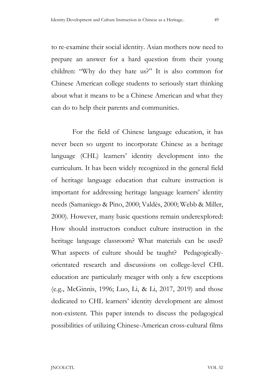to re-examine their social identity. Asian mothers now need to prepare an answer for a hard question from their young children: "Why do they hate us?" It is also common for Chinese American college students to seriously start thinking about what it means to be a Chinese American and what they can do to help their parents and communities.

 For the field of Chinese language education, it has never been so urgent to incorporate Chinese as a heritage language (CHL) learners' identity development into the curriculum. It has been widely recognized in the general field of heritage language education that culture instruction is important for addressing heritage language learners' identity needs (Samaniego & Pino, 2000; Valdés, 2000; Webb & Miller, 2000). However, many basic questions remain underexplored: How should instructors conduct culture instruction in the heritage language classroom? What materials can be used? What aspects of culture should be taught? Pedagogicallyorientated research and discussions on college-level CHL education are particularly meager with only a few exceptions (e.g., McGinnis, 1996; Luo, Li, & Li, 2017, 2019) and those dedicated to CHL learners' identity development are almost non-existent. This paper intends to discuss the pedagogical possibilities of utilizing Chinese-American cross-cultural films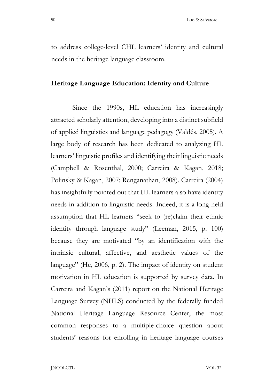to address college-level CHL learners' identity and cultural needs in the heritage language classroom.

#### Heritage Language Education: Identity and Culture

 Since the 1990s, HL education has increasingly attracted scholarly attention, developing into a distinct subfield of applied linguistics and language pedagogy (Valdés, 2005). A large body of research has been dedicated to analyzing HL learners' linguistic profiles and identifying their linguistic needs (Campbell & Rosenthal, 2000; Carreira & Kagan, 2018; Polinsky & Kagan, 2007; Renganathan, 2008). Carreira (2004) has insightfully pointed out that HL learners also have identity needs in addition to linguistic needs. Indeed, it is a long-held assumption that HL learners "seek to (re)claim their ethnic identity through language study" (Leeman, 2015, p. 100) because they are motivated "by an identification with the intrinsic cultural, affective, and aesthetic values of the language" (He, 2006, p. 2). The impact of identity on student motivation in HL education is supported by survey data. In Carreira and Kagan's (2011) report on the National Heritage Language Survey (NHLS) conducted by the federally funded National Heritage Language Resource Center, the most common responses to a multiple-choice question about students' reasons for enrolling in heritage language courses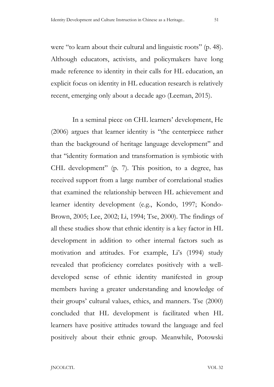were "to learn about their cultural and linguistic roots" (p. 48). Although educators, activists, and policymakers have long made reference to identity in their calls for HL education, an explicit focus on identity in HL education research is relatively recent, emerging only about a decade ago (Leeman, 2015).

In a seminal piece on CHL learners' development, He (2006) argues that learner identity is ''the centerpiece rather than the background of heritage language development'' and that ''identity formation and transformation is symbiotic with CHL development" (p. 7). This position, to a degree, has received support from a large number of correlational studies that examined the relationship between HL achievement and learner identity development (e.g., Kondo, 1997; Kondo-Brown, 2005; Lee, 2002; Li, 1994; Tse, 2000). The findings of all these studies show that ethnic identity is a key factor in HL development in addition to other internal factors such as motivation and attitudes. For example, Li's (1994) study revealed that proficiency correlates positively with a welldeveloped sense of ethnic identity manifested in group members having a greater understanding and knowledge of their groups' cultural values, ethics, and manners. Tse (2000) concluded that HL development is facilitated when HL learners have positive attitudes toward the language and feel positively about their ethnic group. Meanwhile, Potowski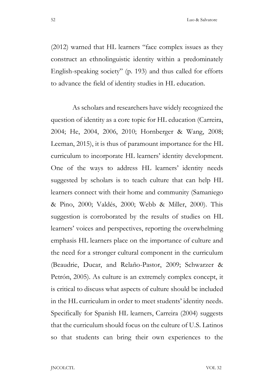52 Luo & Salvatore

(2012) warned that HL learners "face complex issues as they construct an ethnolinguistic identity within a predominately English-speaking society" (p. 193) and thus called for efforts to advance the field of identity studies in HL education.

 As scholars and researchers have widely recognized the question of identity as a core topic for HL education (Carreira, 2004; He, 2004, 2006, 2010; Hornberger & Wang, 2008; Leeman, 2015), it is thus of paramount importance for the HL curriculum to incorporate HL learners' identity development. One of the ways to address HL learners' identity needs suggested by scholars is to teach culture that can help HL learners connect with their home and community (Samaniego & Pino, 2000; Valdés, 2000; Webb & Miller, 2000). This suggestion is corroborated by the results of studies on HL learners' voices and perspectives, reporting the overwhelming emphasis HL learners place on the importance of culture and the need for a stronger cultural component in the curriculum (Beaudrie, Ducar, and Relaño-Pastor, 2009; Schwarzer & Petrón, 2005). As culture is an extremely complex concept, it is critical to discuss what aspects of culture should be included in the HL curriculum in order to meet students' identity needs. Specifically for Spanish HL learners, Carreira (2004) suggests that the curriculum should focus on the culture of U.S. Latinos so that students can bring their own experiences to the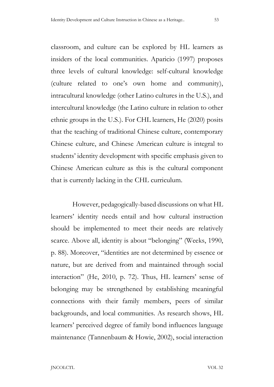classroom, and culture can be explored by HL learners as insiders of the local communities. Aparicio (1997) proposes three levels of cultural knowledge: self-cultural knowledge (culture related to one's own home and community), intracultural knowledge (other Latino cultures in the U.S.), and intercultural knowledge (the Latino culture in relation to other ethnic groups in the U.S.). For CHL learners, He (2020) posits that the teaching of traditional Chinese culture, contemporary Chinese culture, and Chinese American culture is integral to students' identity development with specific emphasis given to Chinese American culture as this is the cultural component that is currently lacking in the CHL curriculum.

 However, pedagogically-based discussions on what HL learners' identity needs entail and how cultural instruction should be implemented to meet their needs are relatively scarce. Above all, identity is about "belonging" (Weeks, 1990, p. 88). Moreover, "identities are not determined by essence or nature, but are derived from and maintained through social interaction" (He, 2010, p. 72). Thus, HL learners' sense of belonging may be strengthened by establishing meaningful connections with their family members, peers of similar backgrounds, and local communities. As research shows, HL learners' perceived degree of family bond influences language maintenance (Tannenbaum & Howie, 2002), social interaction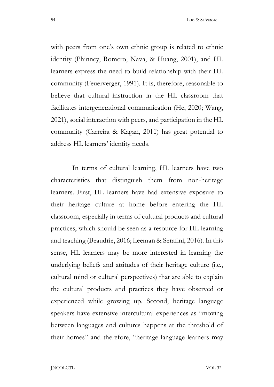with peers from one's own ethnic group is related to ethnic identity (Phinney, Romero, Nava, & Huang, 2001), and HL learners express the need to build relationship with their HL community (Feuerverger, 1991). It is, therefore, reasonable to believe that cultural instruction in the HL classroom that facilitates intergenerational communication (He, 2020; Wang, 2021), social interaction with peers, and participation in the HL community (Carreira & Kagan, 2011) has great potential to address HL learners' identity needs.

 In terms of cultural learning, HL learners have two characteristics that distinguish them from non-heritage learners. First, HL learners have had extensive exposure to their heritage culture at home before entering the HL classroom, especially in terms of cultural products and cultural practices, which should be seen as a resource for HL learning and teaching (Beaudrie, 2016; Leeman & Serafini, 2016). In this sense, HL learners may be more interested in learning the underlying beliefs and attitudes of their heritage culture (i.e., cultural mind or cultural perspectives) that are able to explain the cultural products and practices they have observed or experienced while growing up. Second, heritage language speakers have extensive intercultural experiences as "moving between languages and cultures happens at the threshold of their homes" and therefore, "heritage language learners may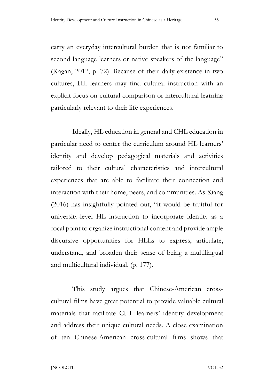carry an everyday intercultural burden that is not familiar to second language learners or native speakers of the language" (Kagan, 2012, p. 72). Because of their daily existence in two cultures, HL learners may find cultural instruction with an explicit focus on cultural comparison or intercultural learning particularly relevant to their life experiences.

 Ideally, HL education in general and CHL education in particular need to center the curriculum around HL learners' identity and develop pedagogical materials and activities tailored to their cultural characteristics and intercultural experiences that are able to facilitate their connection and interaction with their home, peers, and communities. As Xiang (2016) has insightfully pointed out, "it would be fruitful for university-level HL instruction to incorporate identity as a focal point to organize instructional content and provide ample discursive opportunities for HLLs to express, articulate, understand, and broaden their sense of being a multilingual and multicultural individual. (p. 177).

 This study argues that Chinese-American crosscultural films have great potential to provide valuable cultural materials that facilitate CHL learners' identity development and address their unique cultural needs. A close examination of ten Chinese-American cross-cultural films shows that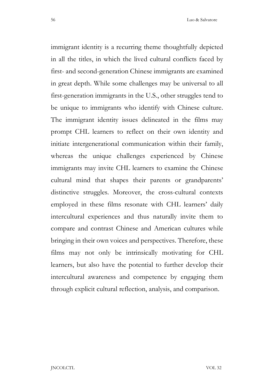immigrant identity is a recurring theme thoughtfully depicted in all the titles, in which the lived cultural conflicts faced by first- and second-generation Chinese immigrants are examined in great depth. While some challenges may be universal to all first-generation immigrants in the U.S., other struggles tend to be unique to immigrants who identify with Chinese culture. The immigrant identity issues delineated in the films may prompt CHL learners to reflect on their own identity and initiate intergenerational communication within their family, whereas the unique challenges experienced by Chinese immigrants may invite CHL learners to examine the Chinese cultural mind that shapes their parents or grandparents' distinctive struggles. Moreover, the cross-cultural contexts employed in these films resonate with CHL learners' daily intercultural experiences and thus naturally invite them to compare and contrast Chinese and American cultures while bringing in their own voices and perspectives. Therefore, these films may not only be intrinsically motivating for CHL learners, but also have the potential to further develop their intercultural awareness and competence by engaging them through explicit cultural reflection, analysis, and comparison.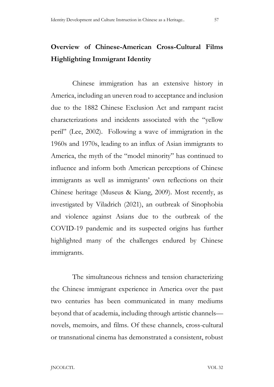# Overview of Chinese-American Cross-Cultural Films Highlighting Immigrant Identity

 Chinese immigration has an extensive history in America, including an uneven road to acceptance and inclusion due to the 1882 Chinese Exclusion Act and rampant racist characterizations and incidents associated with the "yellow peril" (Lee, 2002). Following a wave of immigration in the 1960s and 1970s, leading to an influx of Asian immigrants to America, the myth of the "model minority" has continued to influence and inform both American perceptions of Chinese immigrants as well as immigrants' own reflections on their Chinese heritage (Museus & Kiang, 2009). Most recently, as investigated by Viladrich (2021), an outbreak of Sinophobia and violence against Asians due to the outbreak of the COVID-19 pandemic and its suspected origins has further highlighted many of the challenges endured by Chinese immigrants.

 The simultaneous richness and tension characterizing the Chinese immigrant experience in America over the past two centuries has been communicated in many mediums beyond that of academia, including through artistic channels novels, memoirs, and films. Of these channels, cross-cultural or transnational cinema has demonstrated a consistent, robust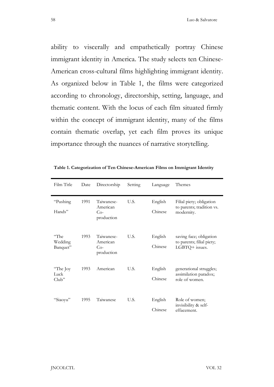ability to viscerally and empathetically portray Chinese immigrant identity in America. The study selects ten Chinese-American cross-cultural films highlighting immigrant identity. As organized below in Table 1, the films were categorized according to chronology, directorship, setting, language, and thematic content. With the locus of each film situated firmly within the concept of immigrant identity, many of the films contain thematic overlap, yet each film proves its unique importance through the nuances of narrative storytelling.

| Film Title                  | Date | Directorship                                  | Setting | Language           | Themes                                                                 |
|-----------------------------|------|-----------------------------------------------|---------|--------------------|------------------------------------------------------------------------|
| "Pushing<br>Hands"          | 1991 | Taiwanese-<br>American<br>$Co-$<br>production | U.S.    | English<br>Chinese | Filial piety; obligation<br>to parents; tradition vs.<br>modernity.    |
| "The<br>Wedding<br>Banquet" | 1993 | Taiwanese-<br>American<br>$Co-$<br>production | U.S.    | English<br>Chinese | saving face; obligation<br>to parents; filial piety;<br>LGBTQ+ issues. |
| "The Joy<br>Luck<br>Club"   | 1993 | American                                      | U.S.    | English<br>Chinese | generational struggles;<br>assimilation paradox;<br>role of women.     |
| "Siaoyu"                    | 1995 | Taiwanese                                     | U.S.    | English<br>Chinese | Role of women;<br>invisibility & self-<br>effacement.                  |

Table 1. Categorization of Ten Chinese-American Films on Immigrant Identity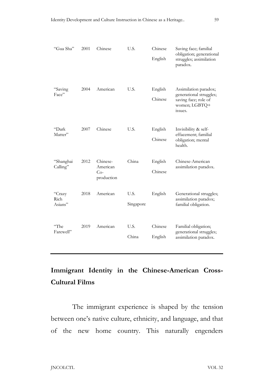| "Gua Sha"                 | 2001 | Chinese                                     | U.S.              | Chinese<br>English | Saving face; familial<br>obligation; generational<br>struggles; assimilation<br>paradox.             |
|---------------------------|------|---------------------------------------------|-------------------|--------------------|------------------------------------------------------------------------------------------------------|
| "Saving<br>Face"          | 2004 | American                                    | U.S.              | English<br>Chinese | Assimilation paradox;<br>generational struggles;<br>saving face; role of<br>women; LGBTQ+<br>issues. |
| "Dark<br>Matter"          | 2007 | Chinese                                     | U.S.              | English<br>Chinese | Invisibility & self-<br>effacement; familial<br>obligation; mental<br>health.                        |
| "Shanghai<br>Calling"     | 2012 | Chinese-<br>American<br>$Co-$<br>production | China             | English<br>Chinese | Chinese-American<br>assimilation paradox.                                                            |
| "Crazy<br>Rich<br>Asians" | 2018 | American                                    | U.S.<br>Singapore | English            | Generational struggles;<br>assimilation paradox;<br>familial obligation.                             |
| "The<br>Farewell"         | 2019 | American                                    | U.S.<br>China     | Chinese<br>English | Familial obligation;<br>generational struggles;<br>assimilation paradox.                             |

## Immigrant Identity in the Chinese-American Cross-Cultural Films

 The immigrant experience is shaped by the tension between one's native culture, ethnicity, and language, and that of the new home country. This naturally engenders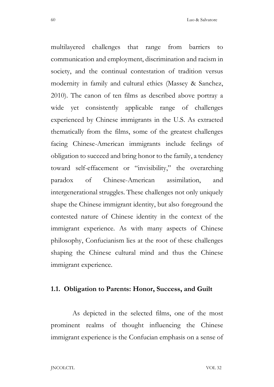multilayered challenges that range from barriers to communication and employment, discrimination and racism in society, and the continual contestation of tradition versus modernity in family and cultural ethics (Massey & Sanchez, 2010). The canon of ten films as described above portray a wide yet consistently applicable range of challenges experienced by Chinese immigrants in the U.S. As extracted thematically from the films, some of the greatest challenges facing Chinese-American immigrants include feelings of obligation to succeed and bring honor to the family, a tendency toward self-effacement or "invisibility," the overarching paradox of Chinese-American assimilation, and intergenerational struggles. These challenges not only uniquely shape the Chinese immigrant identity, but also foreground the contested nature of Chinese identity in the context of the immigrant experience. As with many aspects of Chinese philosophy, Confucianism lies at the root of these challenges shaping the Chinese cultural mind and thus the Chinese immigrant experience.

#### 1.1. Obligation to Parents: Honor, Success, and Guilt

 As depicted in the selected films, one of the most prominent realms of thought influencing the Chinese immigrant experience is the Confucian emphasis on a sense of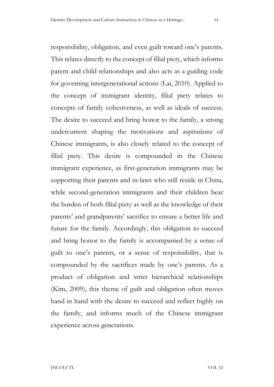responsibility, obligation, and even guilt toward one's parents. This relates directly to the concept of filial piety, which informs parent and child relationships and also acts as a guiding code for governing intergenerational actions (Lai, 2010). Applied to the concept of immigrant identity, filial piety relates to concepts of family cohesiveness, as well as ideals of success. The desire to succeed and bring honor to the family, a strong undercurrent shaping the motivations and aspirations of Chinese immigrants, is also closely related to the concept of filial piety. This desire is compounded in the Chinese immigrant experience, as first-generation immigrants may be supporting their parents and in-laws who still reside in China, while second-generation immigrants and their children bear the burden of both filial piety as well as the knowledge of their parents' and grandparents' sacrifice to ensure a better life and future for the family. Accordingly, this obligation to succeed and bring honor to the family is accompanied by a sense of guilt to one's parents, or a sense of responsibility, that is compounded by the sacrifices made by one's parents. As a product of obligation and strict hierarchical relationships (Kim, 2009), this theme of guilt and obligation often moves hand in hand with the desire to succeed and reflect highly on the family, and informs much of the Chinese immigrant experience across generations.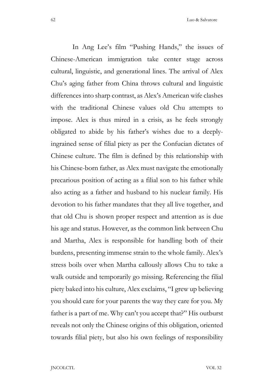In Ang Lee's film "Pushing Hands," the issues of Chinese-American immigration take center stage across cultural, linguistic, and generational lines. The arrival of Alex Chu's aging father from China throws cultural and linguistic differences into sharp contrast, as Alex's American wife clashes with the traditional Chinese values old Chu attempts to impose. Alex is thus mired in a crisis, as he feels strongly obligated to abide by his father's wishes due to a deeplyingrained sense of filial piety as per the Confucian dictates of Chinese culture. The film is defined by this relationship with his Chinese-born father, as Alex must navigate the emotionally precarious position of acting as a filial son to his father while also acting as a father and husband to his nuclear family. His devotion to his father mandates that they all live together, and that old Chu is shown proper respect and attention as is due his age and status. However, as the common link between Chu and Martha, Alex is responsible for handling both of their burdens, presenting immense strain to the whole family. Alex's stress boils over when Martha callously allows Chu to take a walk outside and temporarily go missing. Referencing the filial piety baked into his culture, Alex exclaims, "I grew up believing you should care for your parents the way they care for you. My father is a part of me. Why can't you accept that?" His outburst reveals not only the Chinese origins of this obligation, oriented towards filial piety, but also his own feelings of responsibility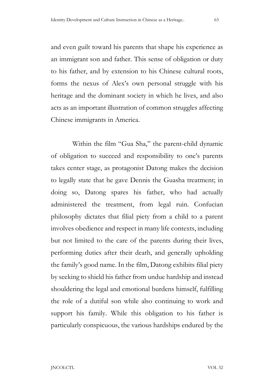and even guilt toward his parents that shape his experience as an immigrant son and father. This sense of obligation or duty to his father, and by extension to his Chinese cultural roots, forms the nexus of Alex's own personal struggle with his heritage and the dominant society in which he lives, and also acts as an important illustration of common struggles affecting Chinese immigrants in America.

Within the film "Gua Sha," the parent-child dynamic of obligation to succeed and responsibility to one's parents takes center stage, as protagonist Datong makes the decision to legally state that he gave Dennis the Guasha treatment; in doing so, Datong spares his father, who had actually administered the treatment, from legal ruin. Confucian philosophy dictates that filial piety from a child to a parent involves obedience and respect in many life contexts, including but not limited to the care of the parents during their lives, performing duties after their death, and generally upholding the family's good name. In the film, Datong exhibits filial piety by seeking to shield his father from undue hardship and instead shouldering the legal and emotional burdens himself, fulfilling the role of a dutiful son while also continuing to work and support his family. While this obligation to his father is particularly conspicuous, the various hardships endured by the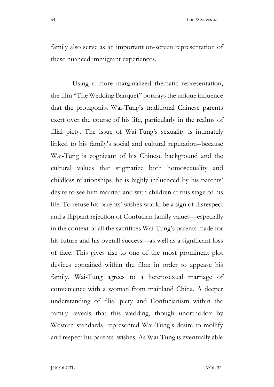family also serve as an important on-screen representation of these nuanced immigrant experiences.

 Using a more marginalized thematic representation, the film "The Wedding Banquet" portrays the unique influence that the protagonist Wai-Tung's traditional Chinese parents exert over the course of his life, particularly in the realms of filial piety. The issue of Wai-Tung's sexuality is intimately linked to his family's social and cultural reputation--because Wai-Tung is cognizant of his Chinese background and the cultural values that stigmatize both homosexuality and childless relationships, he is highly influenced by his parents' desire to see him married and with children at this stage of his life. To refuse his parents' wishes would be a sign of disrespect and a flippant rejection of Confucian family values—especially in the context of all the sacrifices Wai-Tung's parents made for his future and his overall success—as well as a significant loss of face. This gives rise to one of the most prominent plot devices contained within the film: in order to appease his family, Wai-Tung agrees to a heterosexual marriage of convenience with a woman from mainland China. A deeper understanding of filial piety and Confucianism within the family reveals that this wedding, though unorthodox by Western standards, represented Wai-Tung's desire to mollify and respect his parents' wishes. As Wai-Tung is eventually able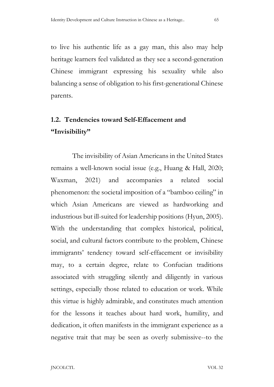to live his authentic life as a gay man, this also may help heritage learners feel validated as they see a second-generation Chinese immigrant expressing his sexuality while also balancing a sense of obligation to his first-generational Chinese parents.

## 1.2. Tendencies toward Self-Effacement and "Invisibility"

 The invisibility of Asian Americans in the United States remains a well-known social issue (e.g., Huang & Hall, 2020; Waxman, 2021) and accompanies a related social phenomenon: the societal imposition of a "bamboo ceiling" in which Asian Americans are viewed as hardworking and industrious but ill-suited for leadership positions (Hyun, 2005). With the understanding that complex historical, political, social, and cultural factors contribute to the problem, Chinese immigrants' tendency toward self-effacement or invisibility may, to a certain degree, relate to Confucian traditions associated with struggling silently and diligently in various settings, especially those related to education or work. While this virtue is highly admirable, and constitutes much attention for the lessons it teaches about hard work, humility, and dedication, it often manifests in the immigrant experience as a negative trait that may be seen as overly submissive--to the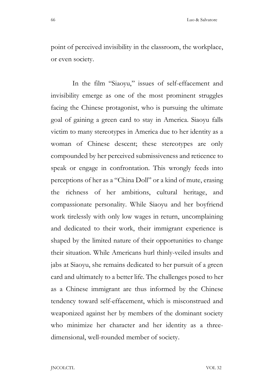point of perceived invisibility in the classroom, the workplace, or even society.

In the film "Siaoyu," issues of self-effacement and invisibility emerge as one of the most prominent struggles facing the Chinese protagonist, who is pursuing the ultimate goal of gaining a green card to stay in America. Siaoyu falls victim to many stereotypes in America due to her identity as a woman of Chinese descent; these stereotypes are only compounded by her perceived submissiveness and reticence to speak or engage in confrontation. This wrongly feeds into perceptions of her as a "China Doll" or a kind of mute, erasing the richness of her ambitions, cultural heritage, and compassionate personality. While Siaoyu and her boyfriend work tirelessly with only low wages in return, uncomplaining and dedicated to their work, their immigrant experience is shaped by the limited nature of their opportunities to change their situation. While Americans hurl thinly-veiled insults and jabs at Siaoyu, she remains dedicated to her pursuit of a green card and ultimately to a better life. The challenges posed to her as a Chinese immigrant are thus informed by the Chinese tendency toward self-effacement, which is misconstrued and weaponized against her by members of the dominant society who minimize her character and her identity as a threedimensional, well-rounded member of society.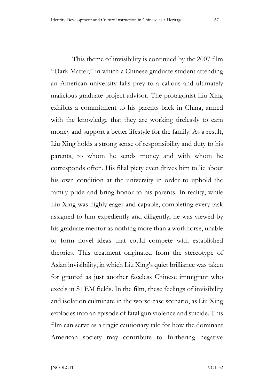This theme of invisibility is continued by the 2007 film "Dark Matter," in which a Chinese graduate student attending an American university falls prey to a callous and ultimately malicious graduate project advisor. The protagonist Liu Xing exhibits a commitment to his parents back in China, armed with the knowledge that they are working tirelessly to earn money and support a better lifestyle for the family. As a result, Liu Xing holds a strong sense of responsibility and duty to his parents, to whom he sends money and with whom he corresponds often. His filial piety even drives him to lie about his own condition at the university in order to uphold the family pride and bring honor to his parents. In reality, while Liu Xing was highly eager and capable, completing every task assigned to him expediently and diligently, he was viewed by his graduate mentor as nothing more than a workhorse, unable to form novel ideas that could compete with established theories. This treatment originated from the stereotype of Asian invisibility, in which Liu Xing's quiet brilliance was taken for granted as just another faceless Chinese immigrant who excels in STEM fields. In the film, these feelings of invisibility and isolation culminate in the worse-case scenario, as Liu Xing explodes into an episode of fatal gun violence and suicide. This film can serve as a tragic cautionary tale for how the dominant American society may contribute to furthering negative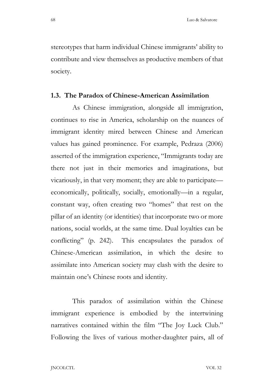stereotypes that harm individual Chinese immigrants' ability to contribute and view themselves as productive members of that society.

### 1.3. The Paradox of Chinese-American Assimilation

 As Chinese immigration, alongside all immigration, continues to rise in America, scholarship on the nuances of immigrant identity mired between Chinese and American values has gained prominence. For example, Pedraza (2006) asserted of the immigration experience, "Immigrants today are there not just in their memories and imaginations, but vicariously, in that very moment; they are able to participate economically, politically, socially, emotionally—in a regular, constant way, often creating two "homes" that rest on the pillar of an identity (or identities) that incorporate two or more nations, social worlds, at the same time. Dual loyalties can be conflicting" (p. 242). This encapsulates the paradox of Chinese-American assimilation, in which the desire to assimilate into American society may clash with the desire to maintain one's Chinese roots and identity.

 This paradox of assimilation within the Chinese immigrant experience is embodied by the intertwining narratives contained within the film "The Joy Luck Club." Following the lives of various mother-daughter pairs, all of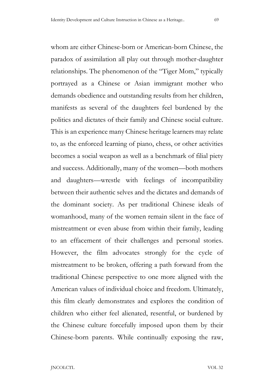whom are either Chinese-born or American-born Chinese, the paradox of assimilation all play out through mother-daughter relationships. The phenomenon of the "Tiger Mom," typically portrayed as a Chinese or Asian immigrant mother who demands obedience and outstanding results from her children, manifests as several of the daughters feel burdened by the politics and dictates of their family and Chinese social culture. This is an experience many Chinese heritage learners may relate to, as the enforced learning of piano, chess, or other activities becomes a social weapon as well as a benchmark of filial piety and success. Additionally, many of the women—both mothers and daughters—wrestle with feelings of incompatibility between their authentic selves and the dictates and demands of the dominant society. As per traditional Chinese ideals of womanhood, many of the women remain silent in the face of mistreatment or even abuse from within their family, leading to an effacement of their challenges and personal stories. However, the film advocates strongly for the cycle of mistreatment to be broken, offering a path forward from the traditional Chinese perspective to one more aligned with the American values of individual choice and freedom. Ultimately, this film clearly demonstrates and explores the condition of children who either feel alienated, resentful, or burdened by the Chinese culture forcefully imposed upon them by their Chinese-born parents. While continually exposing the raw,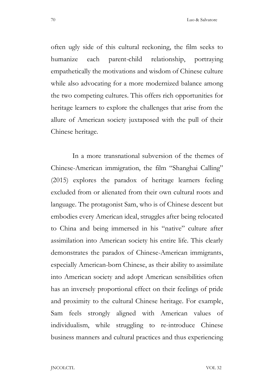often ugly side of this cultural reckoning, the film seeks to humanize each parent-child relationship, portraying empathetically the motivations and wisdom of Chinese culture while also advocating for a more modernized balance among the two competing cultures. This offers rich opportunities for heritage learners to explore the challenges that arise from the allure of American society juxtaposed with the pull of their Chinese heritage.

 In a more transnational subversion of the themes of Chinese-American immigration, the film "Shanghai Calling" (2015) explores the paradox of heritage learners feeling excluded from or alienated from their own cultural roots and language. The protagonist Sam, who is of Chinese descent but embodies every American ideal, struggles after being relocated to China and being immersed in his "native" culture after assimilation into American society his entire life. This clearly demonstrates the paradox of Chinese-American immigrants, especially American-born Chinese, as their ability to assimilate into American society and adopt American sensibilities often has an inversely proportional effect on their feelings of pride and proximity to the cultural Chinese heritage. For example, Sam feels strongly aligned with American values of individualism, while struggling to re-introduce Chinese business manners and cultural practices and thus experiencing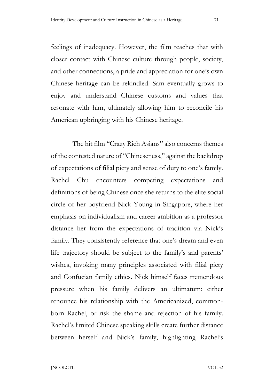feelings of inadequacy. However, the film teaches that with closer contact with Chinese culture through people, society, and other connections, a pride and appreciation for one's own Chinese heritage can be rekindled. Sam eventually grows to

enjoy and understand Chinese customs and values that resonate with him, ultimately allowing him to reconcile his American upbringing with his Chinese heritage.

The hit film "Crazy Rich Asians" also concerns themes of the contested nature of "Chineseness," against the backdrop of expectations of filial piety and sense of duty to one's family. Rachel Chu encounters competing expectations and definitions of being Chinese once she returns to the elite social circle of her boyfriend Nick Young in Singapore, where her emphasis on individualism and career ambition as a professor distance her from the expectations of tradition via Nick's family. They consistently reference that one's dream and even life trajectory should be subject to the family's and parents' wishes, invoking many principles associated with filial piety and Confucian family ethics. Nick himself faces tremendous pressure when his family delivers an ultimatum: either renounce his relationship with the Americanized, commonborn Rachel, or risk the shame and rejection of his family. Rachel's limited Chinese speaking skills create further distance between herself and Nick's family, highlighting Rachel's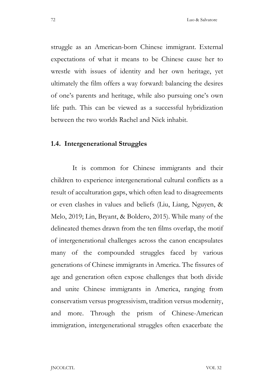struggle as an American-born Chinese immigrant. External expectations of what it means to be Chinese cause her to wrestle with issues of identity and her own heritage, yet ultimately the film offers a way forward: balancing the desires of one's parents and heritage, while also pursuing one's own life path. This can be viewed as a successful hybridization between the two worlds Rachel and Nick inhabit.

#### 1.4. Intergenerational Struggles

 It is common for Chinese immigrants and their children to experience intergenerational cultural conflicts as a result of acculturation gaps, which often lead to disagreements or even clashes in values and beliefs (Liu, Liang, Nguyen, & Melo, 2019; Lin, Bryant, & Boldero, 2015). While many of the delineated themes drawn from the ten films overlap, the motif of intergenerational challenges across the canon encapsulates many of the compounded struggles faced by various generations of Chinese immigrants in America. The fissures of age and generation often expose challenges that both divide and unite Chinese immigrants in America, ranging from conservatism versus progressivism, tradition versus modernity, and more. Through the prism of Chinese-American immigration, intergenerational struggles often exacerbate the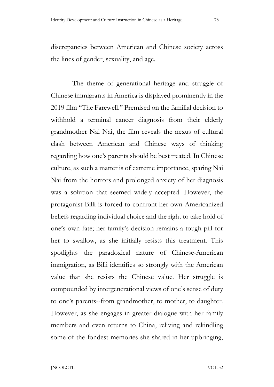discrepancies between American and Chinese society across the lines of gender, sexuality, and age.

 The theme of generational heritage and struggle of Chinese immigrants in America is displayed prominently in the 2019 film "The Farewell." Premised on the familial decision to withhold a terminal cancer diagnosis from their elderly grandmother Nai Nai, the film reveals the nexus of cultural clash between American and Chinese ways of thinking regarding how one's parents should be best treated. In Chinese culture, as such a matter is of extreme importance, sparing Nai Nai from the horrors and prolonged anxiety of her diagnosis was a solution that seemed widely accepted. However, the protagonist Billi is forced to confront her own Americanized beliefs regarding individual choice and the right to take hold of one's own fate; her family's decision remains a tough pill for her to swallow, as she initially resists this treatment. This spotlights the paradoxical nature of Chinese-American immigration, as Billi identifies so strongly with the American value that she resists the Chinese value. Her struggle is compounded by intergenerational views of one's sense of duty to one's parents--from grandmother, to mother, to daughter. However, as she engages in greater dialogue with her family members and even returns to China, reliving and rekindling some of the fondest memories she shared in her upbringing,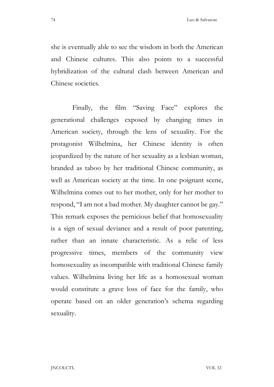she is eventually able to see the wisdom in both the American and Chinese cultures. This also points to a successful hybridization of the cultural clash between American and Chinese societies.

Finally, the film "Saving Face" explores the generational challenges exposed by changing times in American society, through the lens of sexuality. For the protagonist Wilhelmina, her Chinese identity is often jeopardized by the nature of her sexuality as a lesbian woman, branded as taboo by her traditional Chinese community, as well as American society at the time. In one poignant scene, Wilhelmina comes out to her mother, only for her mother to respond, "I am not a bad mother. My daughter cannot be gay." This remark exposes the pernicious belief that homosexuality is a sign of sexual deviance and a result of poor parenting, rather than an innate characteristic. As a relic of less progressive times, members of the community view homosexuality as incompatible with traditional Chinese family values. Wilhelmina living her life as a homosexual woman would constitute a grave loss of face for the family, who operate based on an older generation's schema regarding sexuality.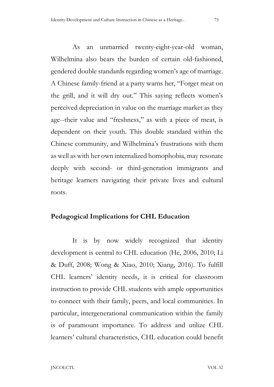As an unmarried twenty-eight-year-old woman, Wilhelmina also bears the burden of certain old-fashioned, gendered double standards regarding women's age of marriage. A Chinese family-friend at a party warns her, "Forget meat on the grill, and it will dry out." This saying reflects women's perceived depreciation in value on the marriage market as they age--their value and "freshness," as with a piece of meat, is dependent on their youth. This double standard within the Chinese community, and Wilhelmina's frustrations with them as well as with her own internalized homophobia, may resonate deeply with second- or third-generation immigrants and heritage learners navigating their private lives and cultural roots.

## Pedagogical Implications for CHL Education

 It is by now widely recognized that identity development is central to CHL education (He, 2006, 2010; Li & Duff, 2008; Wong & Xiao, 2010; Xiang, 2016). To fulfill CHL learners' identity needs, it is critical for classroom instruction to provide CHL students with ample opportunities to connect with their family, peers, and local communities. In particular, intergenerational communication within the family is of paramount importance. To address and utilize CHL learners' cultural characteristics, CHL education could benefit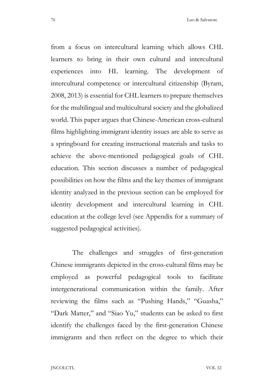from a focus on intercultural learning which allows CHL learners to bring in their own cultural and intercultural experiences into HL learning. The development of intercultural competence or intercultural citizenship (Byram, 2008, 2013) is essential for CHL learners to prepare themselves for the multilingual and multicultural society and the globalized world. This paper argues that Chinese-American cross-cultural films highlighting immigrant identity issues are able to serve as a springboard for creating instructional materials and tasks to achieve the above-mentioned pedagogical goals of CHL education. This section discusses a number of pedagogical possibilities on how the films and the key themes of immigrant identity analyzed in the previous section can be employed for identity development and intercultural learning in CHL education at the college level (see Appendix for a summary of suggested pedagogical activities).

 The challenges and struggles of first-generation Chinese immigrants depicted in the cross-cultural films may be employed as powerful pedagogical tools to facilitate intergenerational communication within the family. After reviewing the films such as "Pushing Hands," "Guasha," "Dark Matter," and "Siao Yu," students can be asked to first identify the challenges faced by the first-generation Chinese immigrants and then reflect on the degree to which their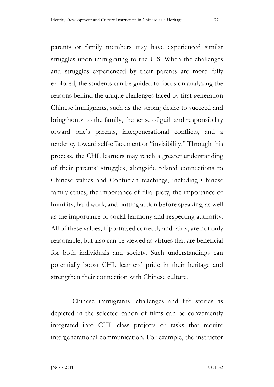parents or family members may have experienced similar struggles upon immigrating to the U.S. When the challenges and struggles experienced by their parents are more fully explored, the students can be guided to focus on analyzing the reasons behind the unique challenges faced by first-generation Chinese immigrants, such as the strong desire to succeed and bring honor to the family, the sense of guilt and responsibility toward one's parents, intergenerational conflicts, and a tendency toward self-effacement or "invisibility." Through this process, the CHL learners may reach a greater understanding of their parents' struggles, alongside related connections to Chinese values and Confucian teachings, including Chinese family ethics, the importance of filial piety, the importance of humility, hard work, and putting action before speaking, as well as the importance of social harmony and respecting authority. All of these values, if portrayed correctly and fairly, are not only reasonable, but also can be viewed as virtues that are beneficial for both individuals and society. Such understandings can potentially boost CHL learners' pride in their heritage and strengthen their connection with Chinese culture.

Chinese immigrants' challenges and life stories as depicted in the selected canon of films can be conveniently integrated into CHL class projects or tasks that require intergenerational communication. For example, the instructor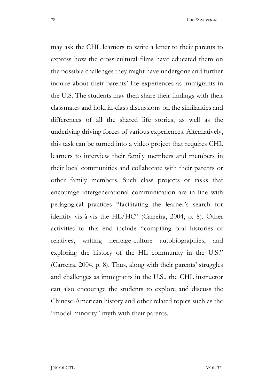may ask the CHL learners to write a letter to their parents to express how the cross-cultural films have educated them on the possible challenges they might have undergone and further inquire about their parents' life experiences as immigrants in the U.S. The students may then share their findings with their classmates and hold in-class discussions on the similarities and differences of all the shared life stories, as well as the underlying driving forces of various experiences. Alternatively, this task can be turned into a video project that requires CHL learners to interview their family members and members in their local communities and collaborate with their parents or other family members. Such class projects or tasks that encourage intergenerational communication are in line with pedagogical practices "facilitating the learner's search for identity vis-à-vis the HL/HC" (Carreira, 2004, p. 8). Other activities to this end include "compiling oral histories of relatives, writing heritage-culture autobiographies, and exploring the history of the HL community in the U.S." (Carreira, 2004, p. 8). Thus, along with their parents' struggles and challenges as immigrants in the U.S., the CHL instructor can also encourage the students to explore and discuss the Chinese-American history and other related topics such as the "model minority" myth with their parents.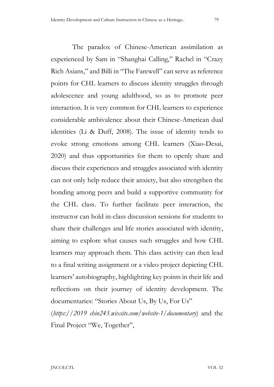The paradox of Chinese-American assimilation as experienced by Sam in "Shanghai Calling," Rachel in "Crazy Rich Asians," and Billi in "The Farewell" can serve as reference points for CHL learners to discuss identity struggles through adolescence and young adulthood, so as to promote peer interaction. It is very common for CHL learners to experience considerable ambivalence about their Chinese-American dual identities (Li & Duff, 2008). The issue of identity tends to evoke strong emotions among CHL learners (Xiao-Desai, 2020) and thus opportunities for them to openly share and discuss their experiences and struggles associated with identity can not only help reduce their anxiety, but also strengthen the bonding among peers and build a supportive community for the CHL class. To further facilitate peer interaction, the instructor can hold in-class discussion sessions for students to share their challenges and life stories associated with identity, aiming to explore what causes such struggles and how CHL learners may approach them. This class activity can then lead to a final writing assignment or a video project depicting CHL learners' autobiography, highlighting key points in their life and reflections on their journey of identity development. The documentaries: "Stories About Us, By Us, For Us"

 $(\textit{https://2019 chin243.wixsite.com/website-1}/\textit{documentary})$  and the Final Project "We, Together",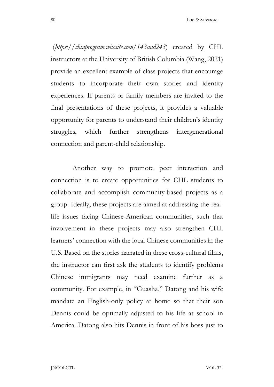$(\textit{https://chinprogram.wixsite.com/143} and 243)$  created by CHL instructors at the University of British Columbia (Wang, 2021) provide an excellent example of class projects that encourage students to incorporate their own stories and identity experiences. If parents or family members are invited to the final presentations of these projects, it provides a valuable opportunity for parents to understand their children's identity struggles, which further strengthens intergenerational connection and parent-child relationship.

 Another way to promote peer interaction and connection is to create opportunities for CHL students to collaborate and accomplish community-based projects as a group. Ideally, these projects are aimed at addressing the reallife issues facing Chinese-American communities, such that involvement in these projects may also strengthen CHL learners' connection with the local Chinese communities in the U.S. Based on the stories narrated in these cross-cultural films, the instructor can first ask the students to identify problems Chinese immigrants may need examine further as a community. For example, in "Guasha," Datong and his wife mandate an English-only policy at home so that their son Dennis could be optimally adjusted to his life at school in America. Datong also hits Dennis in front of his boss just to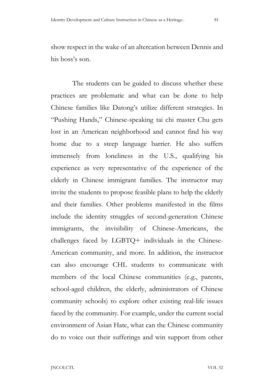show respect in the wake of an altercation between Dennis and his boss's son.

 The students can be guided to discuss whether these practices are problematic and what can be done to help Chinese families like Datong's utilize different strategies. In "Pushing Hands," Chinese-speaking tai chi master Chu gets lost in an American neighborhood and cannot find his way home due to a steep language barrier. He also suffers immensely from loneliness in the U.S., qualifying his experience as very representative of the experience of the elderly in Chinese immigrant families. The instructor may invite the students to propose feasible plans to help the elderly and their families. Other problems manifested in the films include the identity struggles of second-generation Chinese immigrants, the invisibility of Chinese-Americans, the challenges faced by LGBTQ+ individuals in the Chinese-American community, and more. In addition, the instructor can also encourage CHL students to communicate with members of the local Chinese communities (e.g., parents, school-aged children, the elderly, administrators of Chinese community schools) to explore other existing real-life issues faced by the community. For example, under the current social environment of Asian Hate, what can the Chinese community do to voice out their sufferings and win support from other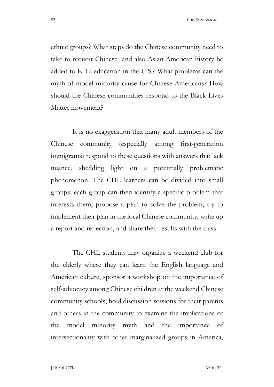ethnic groups? What steps do the Chinese community need to take to request Chinese- and also Asian-American history be added to K-12 education in the U.S.? What problems can the myth of model minority cause for Chinese-Americans? How should the Chinese communities respond to the Black Lives Matter movement?

 It is no exaggeration that many adult members of the Chinese community (especially among first-generation immigrants) respond to these questions with answers that lack nuance, shedding light on a potentially problematic phenomenon. The CHL learners can be divided into small groups; each group can then identify a specific problem that interests them, propose a plan to solve the problem, try to implement their plan in the local Chinese community, write up a report and reflection, and share their results with the class.

 The CHL students may organize a weekend club for the elderly where they can learn the English language and American culture, sponsor a workshop on the importance of self-advocacy among Chinese children at the weekend Chinese community schools, hold discussion sessions for their parents and others in the community to examine the implications of the model minority myth and the importance of intersectionality with other marginalized groups in America,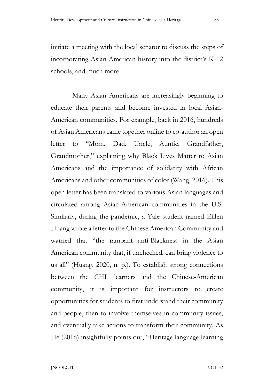initiate a meeting with the local senator to discuss the steps of incorporating Asian-American history into the district's K-12 schools, and much more.

 Many Asian Americans are increasingly beginning to educate their parents and become invested in local Asian-American communities. For example, back in 2016, hundreds of Asian Americans came together online to co-author an open letter to "Mom, Dad, Uncle, Auntie, Grandfather, Grandmother," explaining why Black Lives Matter to Asian Americans and the importance of solidarity with African Americans and other communities of color (Wang, 2016). This open letter has been translated to various Asian languages and circulated among Asian-American communities in the U.S. Similarly, during the pandemic, a Yale student named Eillen Huang wrote a letter to the Chinese American Community and warned that "the rampant anti-Blackness in the Asian American community that, if unchecked, can bring violence to us all" (Huang, 2020, n. p.). To establish strong connections between the CHL learners and the Chinese-American community, it is important for instructors to create opportunities for students to first understand their community and people, then to involve themselves in community issues, and eventually take actions to transform their community. As He (2016) insightfully points out, "Heritage language learning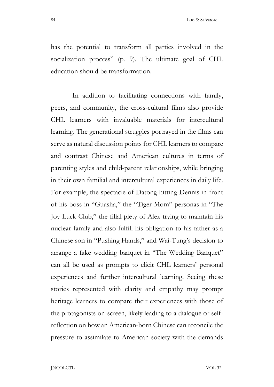has the potential to transform all parties involved in the socialization process" (p. 9). The ultimate goal of CHL education should be transformation.

 In addition to facilitating connections with family, peers, and community, the cross-cultural films also provide CHL learners with invaluable materials for intercultural learning. The generational struggles portrayed in the films can serve as natural discussion points for CHL learners to compare and contrast Chinese and American cultures in terms of parenting styles and child-parent relationships, while bringing in their own familial and intercultural experiences in daily life. For example, the spectacle of Datong hitting Dennis in front of his boss in "Guasha," the "Tiger Mom" personas in "The Joy Luck Club," the filial piety of Alex trying to maintain his nuclear family and also fulfill his obligation to his father as a Chinese son in "Pushing Hands," and Wai-Tung's decision to arrange a fake wedding banquet in "The Wedding Banquet" can all be used as prompts to elicit CHL learners' personal experiences and further intercultural learning. Seeing these stories represented with clarity and empathy may prompt heritage learners to compare their experiences with those of the protagonists on-screen, likely leading to a dialogue or selfreflection on how an American-born Chinese can reconcile the pressure to assimilate to American society with the demands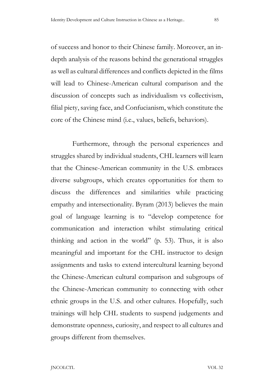of success and honor to their Chinese family. Moreover, an indepth analysis of the reasons behind the generational struggles as well as cultural differences and conflicts depicted in the films will lead to Chinese-American cultural comparison and the discussion of concepts such as individualism vs collectivism, filial piety, saving face, and Confucianism, which constitute the core of the Chinese mind (i.e., values, beliefs, behaviors).

 Furthermore, through the personal experiences and struggles shared by individual students, CHL learners will learn that the Chinese-American community in the U.S. embraces diverse subgroups, which creates opportunities for them to discuss the differences and similarities while practicing empathy and intersectionality. Byram (2013) believes the main goal of language learning is to "develop competence for communication and interaction whilst stimulating critical thinking and action in the world" (p. 53). Thus, it is also meaningful and important for the CHL instructor to design assignments and tasks to extend intercultural learning beyond the Chinese-American cultural comparison and subgroups of the Chinese-American community to connecting with other ethnic groups in the U.S. and other cultures. Hopefully, such trainings will help CHL students to suspend judgements and demonstrate openness, curiosity, and respect to all cultures and groups different from themselves.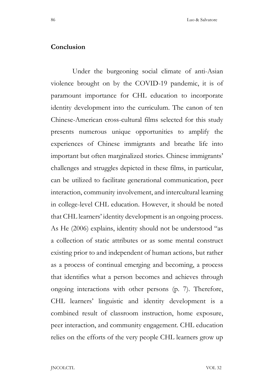#### Conclusion

 Under the burgeoning social climate of anti-Asian violence brought on by the COVID-19 pandemic, it is of paramount importance for CHL education to incorporate identity development into the curriculum. The canon of ten Chinese-American cross-cultural films selected for this study presents numerous unique opportunities to amplify the experiences of Chinese immigrants and breathe life into important but often marginalized stories. Chinese immigrants' challenges and struggles depicted in these films, in particular, can be utilized to facilitate generational communication, peer interaction, community involvement, and intercultural learning in college-level CHL education. However, it should be noted that CHL learners' identity development is an ongoing process. As He (2006) explains, identity should not be understood "as a collection of static attributes or as some mental construct existing prior to and independent of human actions, but rather as a process of continual emerging and becoming, a process that identifies what a person becomes and achieves through ongoing interactions with other persons (p. 7). Therefore, CHL learners' linguistic and identity development is a combined result of classroom instruction, home exposure, peer interaction, and community engagement. CHL education relies on the efforts of the very people CHL learners grow up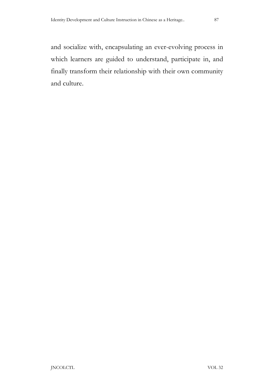and socialize with, encapsulating an ever-evolving process in which learners are guided to understand, participate in, and finally transform their relationship with their own community and culture.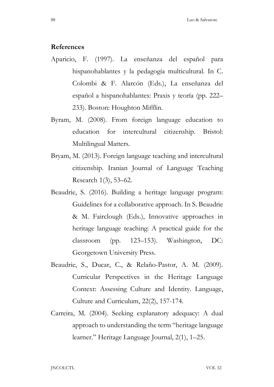#### References

- Aparicio, F. (1997). La enseñanza del español para hispanohablantes y la pedagogía multicultural. In C. Colombi & F. Alarcón (Eds.), La enseñanza del español a hispanohablantes: Praxis y teoría (pp. 222– 233). Boston: Houghton Mifflin.
- Byram, M. (2008). From foreign language education to education for intercultural citizenship. Bristol: Multilingual Matters.
- Bryam, M. (2013). Foreign language teaching and intercultural citizenship. Iranian Journal of Language Teaching Research 1(3), 53–62.
- Beaudrie, S. (2016). Building a heritage language program: Guidelines for a collaborative approach. In S. Beaudrie & M. Fairclough (Eds.), Innovative approaches in heritage language teaching: A practical guide for the classroom (pp. 123–153). Washington, DC: Georgetown University Press.
- Beaudrie, S., Ducar, C., & Relaño-Pastor, A. M. (2009). Curricular Perspectives in the Heritage Language Context: Assessing Culture and Identity. Language, Culture and Curriculum, 22(2), 157-174.
- Carreira, M. (2004). Seeking explanatory adequacy: A dual approach to understanding the term "heritage language learner." Heritage Language Journal, 2(1), 1–25.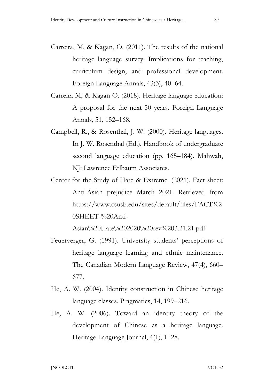- Carreira, M, & Kagan, O. (2011). The results of the national heritage language survey: Implications for teaching, curriculum design, and professional development. Foreign Language Annals, 43(3), 40–64.
- Carreira M, & Kagan O. (2018). Heritage language education: A proposal for the next 50 years. Foreign Language Annals, 51, 152–168.
- Campbell, R., & Rosenthal, J. W. (2000). Heritage languages. In J. W. Rosenthal (Ed.), Handbook of undergraduate second language education (pp. 165–184). Mahwah, NJ: Lawrence Erlbaum Associates.
- Center for the Study of Hate & Extreme. (2021). Fact sheet: Anti-Asian prejudice March 2021. Retrieved from https://www.csusb.edu/sites/default/files/FACT%2 0SHEET-%20Anti-

Asian%20Hate%202020%20rev%203.21.21.pdf

- Feuerverger, G. (1991). University students' perceptions of heritage language learning and ethnic maintenance. The Canadian Modern Language Review, 47(4), 660– 677.
- He, A. W. (2004). Identity construction in Chinese heritage language classes. Pragmatics, 14, 199–216.
- He, A. W. (2006). Toward an identity theory of the development of Chinese as a heritage language. Heritage Language Journal, 4(1), 1–28.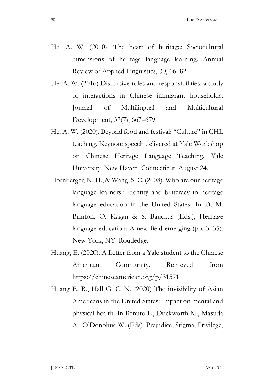- He. A. W. (2010). The heart of heritage: Sociocultural dimensions of heritage language learning. Annual Review of Applied Linguistics, 30, 66–82.
- He. A. W. (2016) Discursive roles and responsibilities: a study of interactions in Chinese immigrant households. Journal of Multilingual and Multicultural Development, 37(7), 667–679.
- He, A. W. (2020). Beyond food and festival: "Culture" in CHL teaching. Keynote speech delivered at Yale Workshop on Chinese Heritage Language Teaching, Yale University, New Haven, Connecticut, August 24.
- Hornberger, N. H., & Wang, S. C. (2008). Who are our heritage language learners? Identity and biliteracy in heritage language education in the United States. In D. M. Brinton, O. Kagan & S. Bauckus (Eds.), Heritage language education: A new field emerging (pp. 3–35). New York, NY: Routledge.
- Huang, E. (2020). A Letter from a Yale student to the Chinese American Community. Retrieved from https://chineseamerican.org/p/31571
- Huang E. R., Hall G. C. N. (2020) The invisibility of Asian Americans in the United States: Impact on mental and physical health. In Benuto L., Duckworth M., Masuda A., O'Donohue W. (Eds), Prejudice, Stigma, Privilege,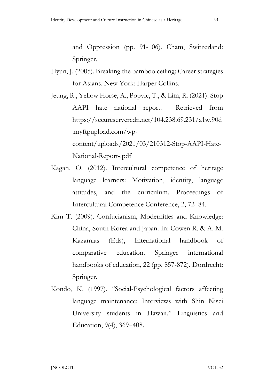and Oppression (pp. 91-106). Cham, Switzerland: Springer.

- Hyun, J. (2005). Breaking the bamboo ceiling: Career strategies for Asians. New York: Harper Collins.
- Jeung, R., Yellow Horse, A., Popvic, T., & Lim, R. (2021). Stop AAPI hate national report. Retrieved from https://secureservercdn.net/104.238.69.231/a1w.90d .myftpupload.com/wpcontent/uploads/2021/03/210312-Stop-AAPI-Hate-National-Report-.pdf
- Kagan, O. (2012). Intercultural competence of heritage language learners: Motivation, identity, language attitudes, and the curriculum. Proceedings of Intercultural Competence Conference, 2, 72–84.
- Kim T. (2009). Confucianism, Modernities and Knowledge: China, South Korea and Japan. In: Cowen R. & A. M. Kazamias (Eds), International handbook of comparative education. Springer international handbooks of education, 22 (pp. 857-872). Dordrecht: Springer.
- Kondo, K. (1997). "Social-Psychological factors affecting language maintenance: Interviews with Shin Nisei University students in Hawaii.'' Linguistics and Education, 9(4), 369–408.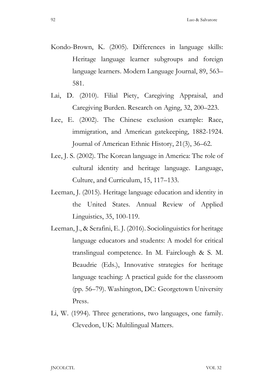- Kondo-Brown, K. (2005). Differences in language skills: Heritage language learner subgroups and foreign language learners. Modern Language Journal, 89, 563– 581.
- Lai, D. (2010). Filial Piety, Caregiving Appraisal, and Caregiving Burden. Research on Aging, 32, 200–223.
- Lee, E. (2002). The Chinese exclusion example: Race, immigration, and American gatekeeping, 1882-1924. Journal of American Ethnic History, 21(3), 36–62.
- Lee, J. S. (2002). The Korean language in America: The role of cultural identity and heritage language. Language, Culture, and Curriculum, 15, 117–133.
- Leeman, J. (2015). Heritage language education and identity in the United States. Annual Review of Applied Linguistics, 35, 100-119.
- Leeman, J., & Serafini, E. J. (2016). Sociolinguistics for heritage language educators and students: A model for critical translingual competence. In M. Fairclough & S. M. Beaudrie (Eds.), Innovative strategies for heritage language teaching: A practical guide for the classroom (pp. 56–79). Washington, DC: Georgetown University Press.
- Li, W. (1994). Three generations, two languages, one family. Clevedon, UK: Multilingual Matters.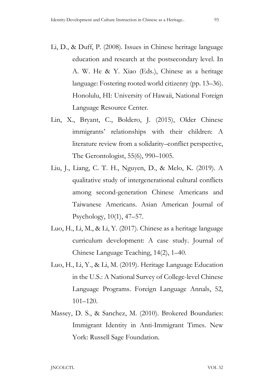- Li, D., & Duff, P. (2008). Issues in Chinese heritage language education and research at the postsecondary level. In A. W. He & Y. Xiao (Eds.), Chinese as a heritage language: Fostering rooted world citizenry (pp. 13–36). Honolulu, HI: University of Hawaii, National Foreign Language Resource Center.
- Lin, X., Bryant, C., Boldero, J. (2015), Older Chinese immigrants' relationships with their children: A literature review from a solidarity–conflict perspective, The Gerontologist, 55(6), 990–1005.
- Liu, J., Liang, C. T. H., Nguyen, D., & Melo, K. (2019). A qualitative study of intergenerational cultural conflicts among second-generation Chinese Americans and Taiwanese Americans. Asian American Journal of Psychology, 10(1), 47–57.
- Luo, H., Li, M., & Li, Y. (2017). Chinese as a heritage language curriculum development: A case study. Journal of Chinese Language Teaching, 14(2), 1–40.
- Luo, H., Li, Y., & Li, M. (2019). Heritage Language Education in the U.S.: A National Survey of College-level Chinese Language Programs. Foreign Language Annals, 52, 101–120.
- Massey, D. S., & Sanchez, M. (2010). Brokered Boundaries: Immigrant Identity in Anti-Immigrant Times. New York: Russell Sage Foundation.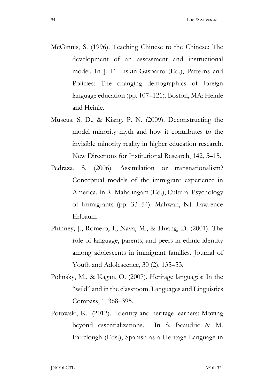- McGinnis, S. (1996). Teaching Chinese to the Chinese: The development of an assessment and instructional model. In J. E. Liskin-Gasparro (Ed.), Patterns and Policies: The changing demographics of foreign language education (pp. 107–121). Boston, MA: Heinle and Heinle.
- Museus, S. D., & Kiang, P. N. (2009). Deconstructing the model minority myth and how it contributes to the invisible minority reality in higher education research. New Directions for Institutional Research, 142, 5–15.
- Pedraza, S. (2006). Assimilation or transnationalism? Conceptual models of the immigrant experience in America. In R. Mahalingam (Ed.), Cultural Psychology of Immigrants (pp. 33–54). Mahwah, NJ: Lawrence Erlbaum
- Phinney, J., Romero, I., Nava, M., & Huang, D. (2001). The role of language, parents, and peers in ethnic identity among adolescents in immigrant families. Journal of Youth and Adolescence, 30 (2), 135–53.
- Polinsky, M., & Kagan, O. (2007). Heritage languages: In the "wild" and in the classroom. Languages and Linguistics Compass, 1, 368–395.
- Potowski, K. (2012). Identity and heritage learners: Moving beyond essentializations. In S. Beaudrie & M. Fairclough (Eds.), Spanish as a Heritage Language in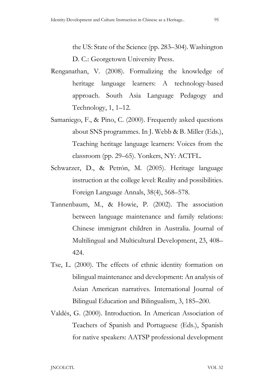the US: State of the Science (pp. 283–304). Washington D. C.: Georgetown University Press.

- Renganathan, V. (2008). Formalizing the knowledge of heritage language learners: A technology-based approach. South Asia Language Pedagogy and Technology, 1, 1–12.
- Samaniego, F., & Pino, C. (2000). Frequently asked questions about SNS programmes. In J. Webb & B. Miller (Eds.), Teaching heritage language learners: Voices from the classroom (pp. 29–65). Yonkers, NY: ACTFL.
- Schwarzer, D., & Petrón, M. (2005). Heritage language instruction at the college level: Reality and possibilities. Foreign Language Annals, 38(4), 568–578.
- Tannenbaum, M., & Howie, P. (2002). The association between language maintenance and family relations: Chinese immigrant children in Australia. Journal of Multilingual and Multicultural Development, 23, 408– 424.
- Tse, L. (2000). The effects of ethnic identity formation on bilingual maintenance and development: An analysis of Asian American narratives. International Journal of Bilingual Education and Bilingualism, 3, 185–200.
- Valdés, G. (2000). Introduction. In American Association of Teachers of Spanish and Portuguese (Eds.), Spanish for native speakers: AATSP professional development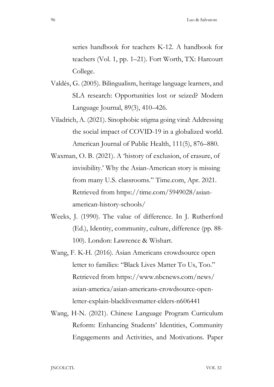series handbook for teachers K-12. A handbook for teachers (Vol. 1, pp. 1–21). Fort Worth, TX: Harcourt College.

- Valdés, G. (2005). Bilingualism, heritage language learners, and SLA research: Opportunities lost or seized? Modern Language Journal, 89(3), 410–426.
- Viladrich, A. (2021). Sinophobic stigma going viral: Addressing the social impact of COVID-19 in a globalized world. American Journal of Public Health, 111(5), 876–880.
- Waxman, O. B. (2021). A 'history of exclusion, of erasure, of invisibility.' Why the Asian-American story is missing from many U.S. classrooms." Time.com, Apr. 2021. Retrieved from https://time.com/5949028/asianamerican-history-schools/
- Weeks, J. (1990). The value of difference. In J. Rutherford (Ed.), Identity, community, culture, difference (pp. 88- 100). London: Lawrence & Wishart.
- Wang, F. K-H. (2016). Asian Americans crowdsource open letter to families: "Black Lives Matter To Us, Too." Retrieved from https://www.nbcnews.com/news/ asian-america/asian-americans-crowdsource-openletter-explain-blacklivesmatter-elders-n606441
- Wang, H-N. (2021). Chinese Language Program Curriculum Reform: Enhancing Students' Identities, Community Engagements and Activities, and Motivations. Paper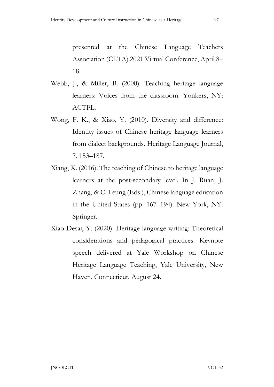presented at the Chinese Language Teachers Association (CLTA) 2021 Virtual Conference, April 8– 18.

- Webb, J., & Miller, B. (2000). Teaching heritage language learners: Voices from the classroom. Yonkers, NY: ACTFL.
- Wong, F. K., & Xiao, Y. (2010). Diversity and difference: Identity issues of Chinese heritage language learners from dialect backgrounds. Heritage Language Journal, 7, 153–187.
- Xiang, X. (2016). The teaching of Chinese to heritage language learners at the post-secondary level. In J. Ruan, J. Zhang, & C. Leung (Eds.), Chinese language education in the United States (pp. 167–194). New York, NY: Springer.
- Xiao-Desai, Y. (2020). Heritage language writing: Theoretical considerations and pedagogical practices. Keynote speech delivered at Yale Workshop on Chinese Heritage Language Teaching, Yale University, New Haven, Connecticut, August 24.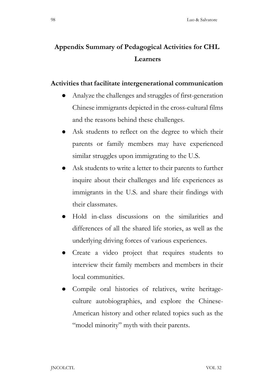# Appendix Summary of Pedagogical Activities for CHL Learners

### Activities that facilitate intergenerational communication

- Analyze the challenges and struggles of first-generation Chinese immigrants depicted in the cross-cultural films and the reasons behind these challenges.
- Ask students to reflect on the degree to which their parents or family members may have experienced similar struggles upon immigrating to the U.S.
- Ask students to write a letter to their parents to further inquire about their challenges and life experiences as immigrants in the U.S. and share their findings with their classmates.
- Hold in-class discussions on the similarities and differences of all the shared life stories, as well as the underlying driving forces of various experiences.
- Create a video project that requires students to interview their family members and members in their local communities.
- Compile oral histories of relatives, write heritageculture autobiographies, and explore the Chinese-American history and other related topics such as the "model minority" myth with their parents.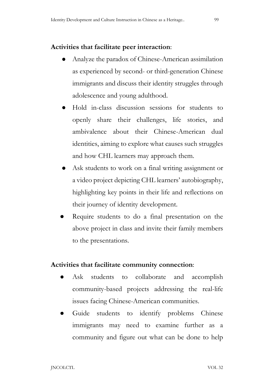## Activities that facilitate peer interaction:

- Analyze the paradox of Chinese-American assimilation as experienced by second- or third-generation Chinese immigrants and discuss their identity struggles through adolescence and young adulthood.
- Hold in-class discussion sessions for students to openly share their challenges, life stories, and ambivalence about their Chinese-American dual identities, aiming to explore what causes such struggles and how CHL learners may approach them.
- Ask students to work on a final writing assignment or a video project depicting CHL learners' autobiography, highlighting key points in their life and reflections on their journey of identity development.
- Require students to do a final presentation on the above project in class and invite their family members to the presentations.

### Activities that facilitate community connection:

- Ask students to collaborate and accomplish community-based projects addressing the real-life issues facing Chinese-American communities.
- Guide students to identify problems Chinese immigrants may need to examine further as a community and figure out what can be done to help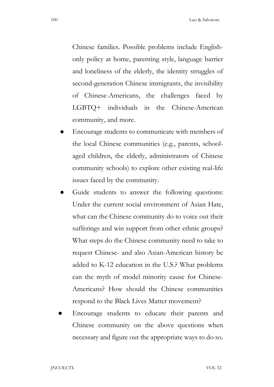Chinese families. Possible problems include Englishonly policy at home, parenting style, language barrier and loneliness of the elderly, the identity struggles of second-generation Chinese immigrants, the invisibility of Chinese-Americans, the challenges faced by LGBTQ+ individuals in the Chinese-American community, and more.

- Encourage students to communicate with members of the local Chinese communities (e.g., parents, schoolaged children, the elderly, administrators of Chinese community schools) to explore other existing real-life issues faced by the community.
- Guide students to answer the following questions: Under the current social environment of Asian Hate, what can the Chinese community do to voice out their sufferings and win support from other ethnic groups? What steps do the Chinese community need to take to request Chinese- and also Asian-American history be added to K-12 education in the U.S.? What problems can the myth of model minority cause for Chinese-Americans? How should the Chinese communities respond to the Black Lives Matter movement?
- Encourage students to educate their parents and Chinese community on the above questions when necessary and figure out the appropriate ways to do so.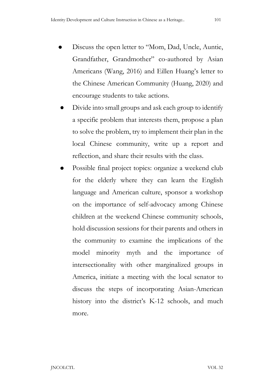- Discuss the open letter to "Mom, Dad, Uncle, Auntie, Grandfather, Grandmother" co-authored by Asian Americans (Wang, 2016) and Eillen Huang's letter to the Chinese American Community (Huang, 2020) and encourage students to take actions.
- Divide into small groups and ask each group to identify a specific problem that interests them, propose a plan to solve the problem, try to implement their plan in the local Chinese community, write up a report and reflection, and share their results with the class.
- Possible final project topics: organize a weekend club for the elderly where they can learn the English language and American culture, sponsor a workshop on the importance of self-advocacy among Chinese children at the weekend Chinese community schools, hold discussion sessions for their parents and others in the community to examine the implications of the model minority myth and the importance of intersectionality with other marginalized groups in America, initiate a meeting with the local senator to discuss the steps of incorporating Asian-American history into the district's K-12 schools, and much more.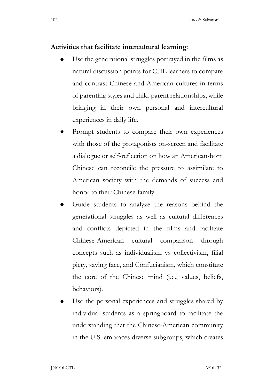#### Activities that facilitate intercultural learning:

- Use the generational struggles portrayed in the films as natural discussion points for CHL learners to compare and contrast Chinese and American cultures in terms of parenting styles and child-parent relationships, while bringing in their own personal and intercultural experiences in daily life.
- Prompt students to compare their own experiences with those of the protagonists on-screen and facilitate a dialogue or self-reflection on how an American-born Chinese can reconcile the pressure to assimilate to American society with the demands of success and honor to their Chinese family.
- Guide students to analyze the reasons behind the generational struggles as well as cultural differences and conflicts depicted in the films and facilitate Chinese-American cultural comparison through concepts such as individualism vs collectivism, filial piety, saving face, and Confucianism, which constitute the core of the Chinese mind (i.e., values, beliefs, behaviors).
- Use the personal experiences and struggles shared by individual students as a springboard to facilitate the understanding that the Chinese-American community in the U.S. embraces diverse subgroups, which creates